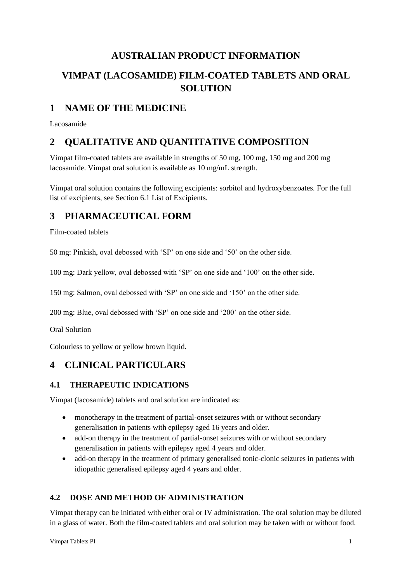# **AUSTRALIAN PRODUCT INFORMATION**

# **VIMPAT (LACOSAMIDE) FILM-COATED TABLETS AND ORAL SOLUTION**

# **1 NAME OF THE MEDICINE**

Lacosamide

# **2 QUALITATIVE AND QUANTITATIVE COMPOSITION**

Vimpat film-coated tablets are available in strengths of 50 mg, 100 mg, 150 mg and 200 mg lacosamide. Vimpat oral solution is available as 10 mg/mL strength.

Vimpat oral solution contains the following excipients: sorbitol and hydroxybenzoates. For the full list of excipients, see Section 6.1 List of Excipients.

# **3 PHARMACEUTICAL FORM**

Film-coated tablets

50 mg: Pinkish, oval debossed with 'SP' on one side and '50' on the other side.

100 mg: Dark yellow, oval debossed with 'SP' on one side and '100' on the other side.

150 mg: Salmon, oval debossed with 'SP' on one side and '150' on the other side.

200 mg: Blue, oval debossed with 'SP' on one side and '200' on the other side.

Oral Solution

Colourless to yellow or yellow brown liquid.

# **4 CLINICAL PARTICULARS**

## **4.1 THERAPEUTIC INDICATIONS**

Vimpat (lacosamide) tablets and oral solution are indicated as:

- monotherapy in the treatment of partial-onset seizures with or without secondary generalisation in patients with epilepsy aged 16 years and older.
- add-on therapy in the treatment of partial-onset seizures with or without secondary generalisation in patients with epilepsy aged 4 years and older.
- add-on therapy in the treatment of primary generalised tonic-clonic seizures in patients with idiopathic generalised epilepsy aged 4 years and older.

## **4.2 DOSE AND METHOD OF ADMINISTRATION**

Vimpat therapy can be initiated with either oral or IV administration. The oral solution may be diluted in a glass of water. Both the film-coated tablets and oral solution may be taken with or without food.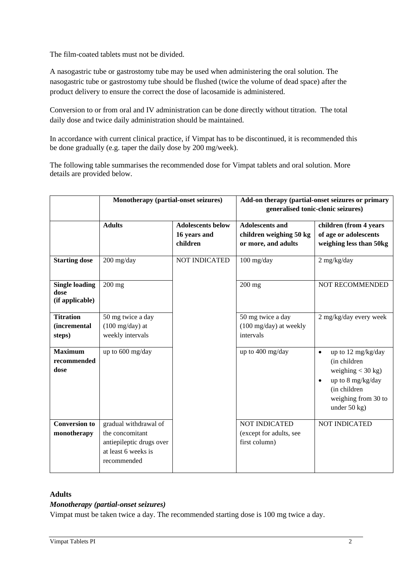The film-coated tablets must not be divided.

A nasogastric tube or gastrostomy tube may be used when administering the oral solution. The nasogastric tube or gastrostomy tube should be flushed (twice the volume of dead space) after the product delivery to ensure the correct the dose of lacosamide is administered.

Conversion to or from oral and IV administration can be done directly without titration. The total daily dose and twice daily administration should be maintained.

In accordance with current clinical practice, if Vimpat has to be discontinued, it is recommended this be done gradually (e.g. taper the daily dose by 200 mg/week).

The following table summarises the recommended dose for Vimpat tablets and oral solution. More details are provided below.

|                                                   | Monotherapy (partial-onset seizures)                                                                       |                                                      | Add-on therapy (partial-onset seizures or primary<br>generalised tonic-clonic seizures) |                                                                                                                                                      |  |
|---------------------------------------------------|------------------------------------------------------------------------------------------------------------|------------------------------------------------------|-----------------------------------------------------------------------------------------|------------------------------------------------------------------------------------------------------------------------------------------------------|--|
|                                                   | <b>Adults</b>                                                                                              | <b>Adolescents below</b><br>16 years and<br>children | <b>Adolescents and</b><br>children weighing 50 kg<br>or more, and adults                | children (from 4 years<br>of age or adolescents<br>weighing less than 50kg                                                                           |  |
| <b>Starting dose</b>                              | $200$ mg/day                                                                                               | NOT INDICATED                                        | $100$ mg/day                                                                            | $2$ mg/kg/day                                                                                                                                        |  |
| <b>Single loading</b><br>dose<br>(if applicable)  | $200$ mg                                                                                                   |                                                      | $200$ mg                                                                                | <b>NOT RECOMMENDED</b>                                                                                                                               |  |
| <b>Titration</b><br><i>(incremental</i><br>steps) | 50 mg twice a day<br>$(100 \text{ mg/day})$ at<br>weekly intervals                                         |                                                      | 50 mg twice a day<br>$(100 \text{ mg/day})$ at weekly<br>intervals                      | 2 mg/kg/day every week                                                                                                                               |  |
| <b>Maximum</b><br>recommended<br>dose             | up to 600 mg/day                                                                                           |                                                      | up to 400 mg/day                                                                        | up to 12 mg/kg/day<br>$\bullet$<br>(in children<br>weighing $<$ 30 kg)<br>up to 8 mg/kg/day<br>(in children<br>weighing from 30 to<br>under $50$ kg) |  |
| <b>Conversion to</b><br>monotherapy               | gradual withdrawal of<br>the concomitant<br>antiepileptic drugs over<br>at least 6 weeks is<br>recommended |                                                      | <b>NOT INDICATED</b><br>(except for adults, see<br>first column)                        | <b>NOT INDICATED</b>                                                                                                                                 |  |

### **Adults**

## *Monotherapy (partial-onset seizures)*

Vimpat must be taken twice a day. The recommended starting dose is 100 mg twice a day.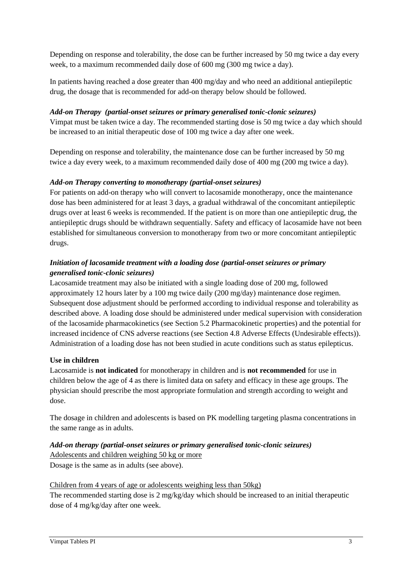Depending on response and tolerability, the dose can be further increased by 50 mg twice a day every week, to a maximum recommended daily dose of 600 mg (300 mg twice a day).

In patients having reached a dose greater than 400 mg/day and who need an additional antiepileptic drug, the dosage that is recommended for add-on therapy below should be followed.

## *Add-on Therapy (partial-onset seizures or primary generalised tonic-clonic seizures)*

Vimpat must be taken twice a day. The recommended starting dose is 50 mg twice a day which should be increased to an initial therapeutic dose of 100 mg twice a day after one week.

Depending on response and tolerability, the maintenance dose can be further increased by 50 mg twice a day every week, to a maximum recommended daily dose of 400 mg (200 mg twice a day).

## *Add-on Therapy converting to monotherapy (partial-onset seizures)*

For patients on add-on therapy who will convert to lacosamide monotherapy, once the maintenance dose has been administered for at least 3 days, a gradual withdrawal of the concomitant antiepileptic drugs over at least 6 weeks is recommended. If the patient is on more than one antiepileptic drug, the antiepileptic drugs should be withdrawn sequentially. Safety and efficacy of lacosamide have not been established for simultaneous conversion to monotherapy from two or more concomitant antiepileptic drugs.

## *Initiation of lacosamide treatment with a loading dose (partial-onset seizures or primary generalised tonic-clonic seizures)*

Lacosamide treatment may also be initiated with a single loading dose of 200 mg, followed approximately 12 hours later by a 100 mg twice daily (200 mg/day) maintenance dose regimen. Subsequent dose adjustment should be performed according to individual response and tolerability as described above. A loading dose should be administered under medical supervision with consideration of the lacosamide pharmacokinetics (see Section 5.2 Pharmacokinetic properties) and the potential for increased incidence of CNS adverse reactions (see Section 4.8 Adverse Effects (Undesirable effects)). Administration of a loading dose has not been studied in acute conditions such as status epilepticus.

## **Use in children**

Lacosamide is **not indicated** for monotherapy in children and is **not recommended** for use in children below the age of 4 as there is limited data on safety and efficacy in these age groups. The physician should prescribe the most appropriate formulation and strength according to weight and dose.

The dosage in children and adolescents is based on PK modelling targeting plasma concentrations in the same range as in adults.

# *Add-on therapy (partial-onset seizures or primary generalised tonic-clonic seizures)* Adolescents and children weighing 50 kg or more

Dosage is the same as in adults (see above).

## Children from 4 years of age or adolescents weighing less than 50kg)

The recommended starting dose is 2 mg/kg/day which should be increased to an initial therapeutic dose of 4 mg/kg/day after one week.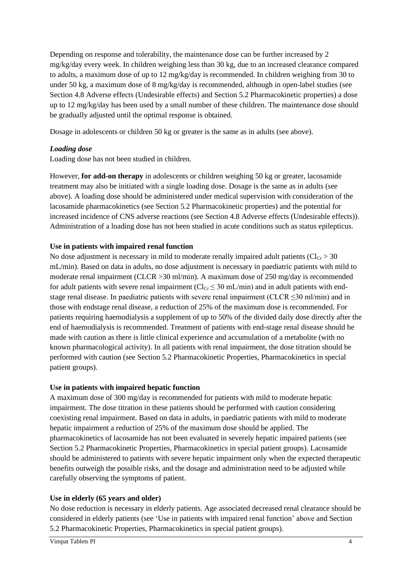Depending on response and tolerability, the maintenance dose can be further increased by 2 mg/kg/day every week. In children weighing less than 30 kg, due to an increased clearance compared to adults, a maximum dose of up to 12 mg/kg/day is recommended. In children weighing from 30 to under 50 kg, a maximum dose of 8 mg/kg/day is recommended, although in open-label studies (see Section 4.8 Adverse effects (Undesirable effects) and Section 5.2 Pharmacokinetic properties) a dose up to 12 mg/kg/day has been used by a small number of these children. The maintenance dose should be gradually adjusted until the optimal response is obtained.

Dosage in adolescents or children 50 kg or greater is the same as in adults (see above).

#### *Loading dose*

Loading dose has not been studied in children.

However, **for add-on therapy** in adolescents or children weighing 50 kg or greater, lacosamide treatment may also be initiated with a single loading dose. Dosage is the same as in adults (see above). A loading dose should be administered under medical supervision with consideration of the lacosamide pharmacokinetics (see Section 5.2 Pharmacokinetic properties) and the potential for increased incidence of CNS adverse reactions (see Section 4.8 Adverse effects (Undesirable effects)). Administration of a loading dose has not been studied in acute conditions such as status epilepticus.

#### **Use in patients with impaired renal function**

No dose adjustment is necessary in mild to moderate renally impaired adult patients ( $Cl<sub>Cr</sub> > 30$ ) mL/min). Based on data in adults, no dose adjustment is necessary in paediatric patients with mild to moderate renal impairment (CLCR > 30 ml/min). A maximum dose of 250 mg/day is recommended for adult patients with severe renal impairment ( $Cl_{Cr} \leq 30$  mL/min) and in adult patients with endstage renal disease. In paediatric patients with severe renal impairment (CLCR  $\leq$ 30 ml/min) and in those with endstage renal disease, a reduction of 25% of the maximum dose is recommended. For patients requiring haemodialysis a supplement of up to 50% of the divided daily dose directly after the end of haemodialysis is recommended. Treatment of patients with end-stage renal disease should be made with caution as there is little clinical experience and accumulation of a metabolite (with no known pharmacological activity). In all patients with renal impairment, the dose titration should be performed with caution (see Section 5.2 Pharmacokinetic Properties, Pharmacokinetics in special patient groups).

#### **Use in patients with impaired hepatic function**

A maximum dose of 300 mg/day is recommended for patients with mild to moderate hepatic impairment. The dose titration in these patients should be performed with caution considering coexisting renal impairment. Based on data in adults, in paediatric patients with mild to moderate hepatic impairment a reduction of 25% of the maximum dose should be applied. The pharmacokinetics of lacosamide has not been evaluated in severely hepatic impaired patients (see Section 5.2 Pharmacokinetic Properties, Pharmacokinetics in special patient groups). Lacosamide should be administered to patients with severe hepatic impairment only when the expected therapeutic benefits outweigh the possible risks, and the dosage and administration need to be adjusted while carefully observing the symptoms of patient.

## **Use in elderly (65 years and older)**

No dose reduction is necessary in elderly patients. Age associated decreased renal clearance should be considered in elderly patients (see 'Use in patients with impaired renal function' above and Section 5.2 Pharmacokinetic Properties, Pharmacokinetics in special patient groups).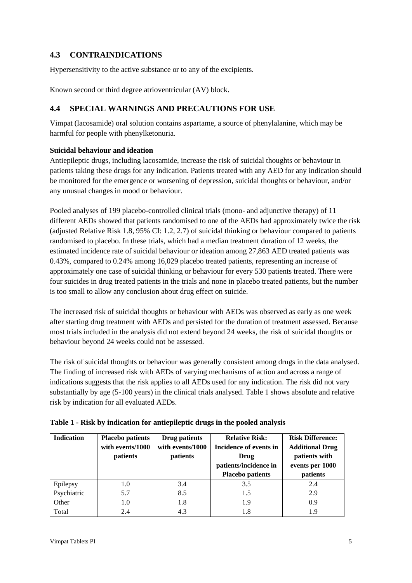# **4.3 CONTRAINDICATIONS**

Hypersensitivity to the active substance or to any of the excipients.

Known second or third degree atrioventricular (AV) block.

## **4.4 SPECIAL WARNINGS AND PRECAUTIONS FOR USE**

Vimpat (lacosamide) oral solution contains aspartame, a source of phenylalanine, which may be harmful for people with phenylketonuria.

#### **Suicidal behaviour and ideation**

Antiepileptic drugs, including lacosamide, increase the risk of suicidal thoughts or behaviour in patients taking these drugs for any indication. Patients treated with any AED for any indication should be monitored for the emergence or worsening of depression, suicidal thoughts or behaviour, and/or any unusual changes in mood or behaviour.

Pooled analyses of 199 placebo-controlled clinical trials (mono- and adjunctive therapy) of 11 different AEDs showed that patients randomised to one of the AEDs had approximately twice the risk (adjusted Relative Risk 1.8, 95% CI: 1.2, 2.7) of suicidal thinking or behaviour compared to patients randomised to placebo. In these trials, which had a median treatment duration of 12 weeks, the estimated incidence rate of suicidal behaviour or ideation among 27,863 AED treated patients was 0.43%, compared to 0.24% among 16,029 placebo treated patients, representing an increase of approximately one case of suicidal thinking or behaviour for every 530 patients treated. There were four suicides in drug treated patients in the trials and none in placebo treated patients, but the number is too small to allow any conclusion about drug effect on suicide.

The increased risk of suicidal thoughts or behaviour with AEDs was observed as early as one week after starting drug treatment with AEDs and persisted for the duration of treatment assessed. Because most trials included in the analysis did not extend beyond 24 weeks, the risk of suicidal thoughts or behaviour beyond 24 weeks could not be assessed.

The risk of suicidal thoughts or behaviour was generally consistent among drugs in the data analysed. The finding of increased risk with AEDs of varying mechanisms of action and across a range of indications suggests that the risk applies to all AEDs used for any indication. The risk did not vary substantially by age (5-100 years) in the clinical trials analysed. Table 1 shows absolute and relative risk by indication for all evaluated AEDs.

| <b>Indication</b> | <b>Placebo patients</b><br>with events/1000<br><i>patients</i> | Drug patients<br>with events/1000<br><i>patients</i> | <b>Relative Risk:</b><br>Incidence of events in<br>Drug<br>patients/incidence in<br><b>Placebo patients</b> | <b>Risk Difference:</b><br><b>Additional Drug</b><br>patients with<br>events per 1000<br>patients |
|-------------------|----------------------------------------------------------------|------------------------------------------------------|-------------------------------------------------------------------------------------------------------------|---------------------------------------------------------------------------------------------------|
| Epilepsy          | 1.0                                                            | 3.4                                                  | 3.5                                                                                                         | 2.4                                                                                               |
| Psychiatric       | 5.7                                                            | 8.5                                                  | 1.5                                                                                                         | 2.9                                                                                               |
| Other             | 1.0                                                            | 1.8                                                  | 1.9                                                                                                         | 0.9                                                                                               |
| Total             | 2.4                                                            | 4.3                                                  | 1.8                                                                                                         | 1.9                                                                                               |

|  | Table 1 - Risk by indication for antiepileptic drugs in the pooled analysis |  |
|--|-----------------------------------------------------------------------------|--|
|  |                                                                             |  |
|  |                                                                             |  |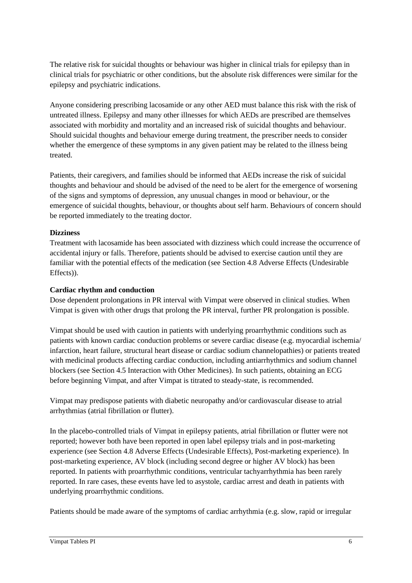The relative risk for suicidal thoughts or behaviour was higher in clinical trials for epilepsy than in clinical trials for psychiatric or other conditions, but the absolute risk differences were similar for the epilepsy and psychiatric indications.

Anyone considering prescribing lacosamide or any other AED must balance this risk with the risk of untreated illness. Epilepsy and many other illnesses for which AEDs are prescribed are themselves associated with morbidity and mortality and an increased risk of suicidal thoughts and behaviour. Should suicidal thoughts and behaviour emerge during treatment, the prescriber needs to consider whether the emergence of these symptoms in any given patient may be related to the illness being treated.

Patients, their caregivers, and families should be informed that AEDs increase the risk of suicidal thoughts and behaviour and should be advised of the need to be alert for the emergence of worsening of the signs and symptoms of depression, any unusual changes in mood or behaviour, or the emergence of suicidal thoughts, behaviour, or thoughts about self harm. Behaviours of concern should be reported immediately to the treating doctor.

#### **Dizziness**

Treatment with lacosamide has been associated with dizziness which could increase the occurrence of accidental injury or falls. Therefore, patients should be advised to exercise caution until they are familiar with the potential effects of the medication (see Section 4.8 Adverse Effects (Undesirable Effects)).

#### **Cardiac rhythm and conduction**

Dose dependent prolongations in PR interval with Vimpat were observed in clinical studies. When Vimpat is given with other drugs that prolong the PR interval, further PR prolongation is possible.

Vimpat should be used with caution in patients with underlying proarrhythmic conditions such as patients with known cardiac conduction problems or severe cardiac disease (e.g. myocardial ischemia/ infarction, heart failure, structural heart disease or cardiac sodium channelopathies) or patients treated with medicinal products affecting cardiac conduction, including antiarrhythmics and sodium channel blockers (see Section 4.5 Interaction with Other Medicines). In such patients, obtaining an ECG before beginning Vimpat, and after Vimpat is titrated to steady-state, is recommended.

Vimpat may predispose patients with diabetic neuropathy and/or cardiovascular disease to atrial arrhythmias (atrial fibrillation or flutter).

In the placebo-controlled trials of Vimpat in epilepsy patients, atrial fibrillation or flutter were not reported; however both have been reported in open label epilepsy trials and in post-marketing experience (see Section 4.8 Adverse Effects (Undesirable Effects), Post-marketing experience). In post-marketing experience, AV block (including second degree or higher AV block) has been reported. In patients with proarrhythmic conditions, ventricular tachyarrhythmia has been rarely reported. In rare cases, these events have led to asystole, cardiac arrest and death in patients with underlying proarrhythmic conditions.

Patients should be made aware of the symptoms of cardiac arrhythmia (e.g. slow, rapid or irregular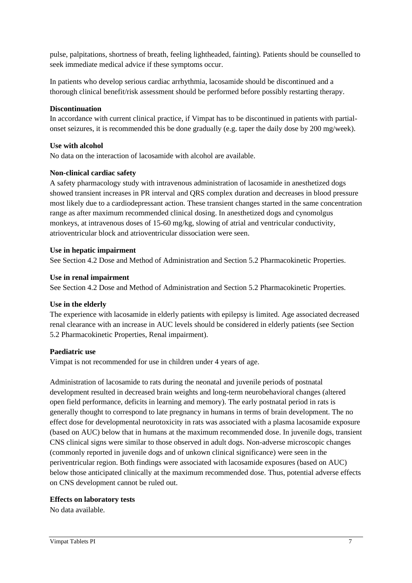pulse, palpitations, shortness of breath, feeling lightheaded, fainting). Patients should be counselled to seek immediate medical advice if these symptoms occur.

In patients who develop serious cardiac arrhythmia, lacosamide should be discontinued and a thorough clinical benefit/risk assessment should be performed before possibly restarting therapy.

#### **Discontinuation**

In accordance with current clinical practice, if Vimpat has to be discontinued in patients with partialonset seizures, it is recommended this be done gradually (e.g. taper the daily dose by 200 mg/week).

#### **Use with alcohol**

No data on the interaction of lacosamide with alcohol are available.

#### **Non-clinical cardiac safety**

A safety pharmacology study with intravenous administration of lacosamide in anesthetized dogs showed transient increases in PR interval and QRS complex duration and decreases in blood pressure most likely due to a cardiodepressant action. These transient changes started in the same concentration range as after maximum recommended clinical dosing. In anesthetized dogs and cynomolgus monkeys, at intravenous doses of 15-60 mg/kg, slowing of atrial and ventricular conductivity, atrioventricular block and atrioventricular dissociation were seen.

#### **Use in hepatic impairment**

See Section 4.2 Dose and Method of Administration and Section 5.2 Pharmacokinetic Properties.

#### **Use in renal impairment**

See Section 4.2 Dose and Method of Administration and Section 5.2 Pharmacokinetic Properties.

#### **Use in the elderly**

The experience with lacosamide in elderly patients with epilepsy is limited. Age associated decreased renal clearance with an increase in AUC levels should be considered in elderly patients (see Section 5.2 Pharmacokinetic Properties, Renal impairment).

#### **Paediatric use**

Vimpat is not recommended for use in children under 4 years of age.

Administration of lacosamide to rats during the neonatal and juvenile periods of postnatal development resulted in decreased brain weights and long-term neurobehavioral changes (altered open field performance, deficits in learning and memory). The early postnatal period in rats is generally thought to correspond to late pregnancy in humans in terms of brain development. The no effect dose for developmental neurotoxicity in rats was associated with a plasma lacosamide exposure (based on AUC) below that in humans at the maximum recommended dose. In juvenile dogs, transient CNS clinical signs were similar to those observed in adult dogs. Non-adverse microscopic changes (commonly reported in juvenile dogs and of unkown clinical significance) were seen in the periventricular region. Both findings were associated with lacosamide exposures (based on AUC) below those anticipated clinically at the maximum recommended dose. Thus, potential adverse effects on CNS development cannot be ruled out.

#### **Effects on laboratory tests**

No data available.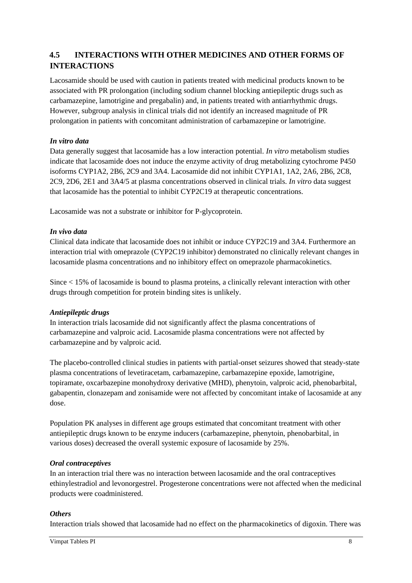# **4.5 INTERACTIONS WITH OTHER MEDICINES AND OTHER FORMS OF INTERACTIONS**

Lacosamide should be used with caution in patients treated with medicinal products known to be associated with PR prolongation (including sodium channel blocking antiepileptic drugs such as carbamazepine, lamotrigine and pregabalin) and, in patients treated with antiarrhythmic drugs. However, subgroup analysis in clinical trials did not identify an increased magnitude of PR prolongation in patients with concomitant administration of carbamazepine or lamotrigine.

### *In vitro data*

Data generally suggest that lacosamide has a low interaction potential. *In vitro* metabolism studies indicate that lacosamide does not induce the enzyme activity of drug metabolizing cytochrome P450 isoforms CYP1A2, 2B6, 2C9 and 3A4. Lacosamide did not inhibit CYP1A1, 1A2, 2A6, 2B6, 2C8, 2C9, 2D6, 2E1 and 3A4/5 at plasma concentrations observed in clinical trials. *In vitro* data suggest that lacosamide has the potential to inhibit CYP2C19 at therapeutic concentrations.

Lacosamide was not a substrate or inhibitor for P-glycoprotein.

#### *In vivo data*

Clinical data indicate that lacosamide does not inhibit or induce CYP2C19 and 3A4. Furthermore an interaction trial with omeprazole (CYP2C19 inhibitor) demonstrated no clinically relevant changes in lacosamide plasma concentrations and no inhibitory effect on omeprazole pharmacokinetics.

Since < 15% of lacosamide is bound to plasma proteins, a clinically relevant interaction with other drugs through competition for protein binding sites is unlikely.

#### *Antiepileptic drugs*

In interaction trials lacosamide did not significantly affect the plasma concentrations of carbamazepine and valproic acid. Lacosamide plasma concentrations were not affected by carbamazepine and by valproic acid.

The placebo-controlled clinical studies in patients with partial-onset seizures showed that steady-state plasma concentrations of levetiracetam, carbamazepine, carbamazepine epoxide, lamotrigine, topiramate, oxcarbazepine monohydroxy derivative (MHD), phenytoin, valproic acid, phenobarbital, gabapentin, clonazepam and zonisamide were not affected by concomitant intake of lacosamide at any dose.

Population PK analyses in different age groups estimated that concomitant treatment with other antiepileptic drugs known to be enzyme inducers (carbamazepine, phenytoin, phenobarbital, in various doses) decreased the overall systemic exposure of lacosamide by 25%.

#### *Oral contraceptives*

In an interaction trial there was no interaction between lacosamide and the oral contraceptives ethinylestradiol and levonorgestrel. Progesterone concentrations were not affected when the medicinal products were coadministered.

#### *Others*

Interaction trials showed that lacosamide had no effect on the pharmacokinetics of digoxin. There was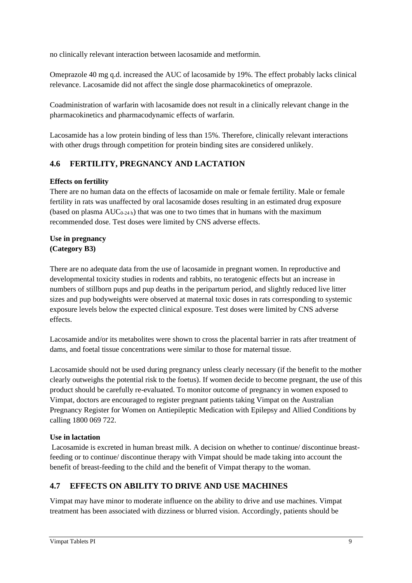no clinically relevant interaction between lacosamide and metformin.

Omeprazole 40 mg q.d. increased the AUC of lacosamide by 19%. The effect probably lacks clinical relevance. Lacosamide did not affect the single dose pharmacokinetics of omeprazole.

Coadministration of warfarin with lacosamide does not result in a clinically relevant change in the pharmacokinetics and pharmacodynamic effects of warfarin.

Lacosamide has a low protein binding of less than 15%. Therefore, clinically relevant interactions with other drugs through competition for protein binding sites are considered unlikely.

# **4.6 FERTILITY, PREGNANCY AND LACTATION**

## **Effects on fertility**

There are no human data on the effects of lacosamide on male or female fertility. Male or female fertility in rats was unaffected by oral lacosamide doses resulting in an estimated drug exposure (based on plasma  $AUC_{0.24 h}$ ) that was one to two times that in humans with the maximum recommended dose. Test doses were limited by CNS adverse effects.

### **Use in pregnancy (Category B3)**

There are no adequate data from the use of lacosamide in pregnant women. In reproductive and developmental toxicity studies in rodents and rabbits, no teratogenic effects but an increase in numbers of stillborn pups and pup deaths in the peripartum period, and slightly reduced live litter sizes and pup bodyweights were observed at maternal toxic doses in rats corresponding to systemic exposure levels below the expected clinical exposure. Test doses were limited by CNS adverse effects.

Lacosamide and/or its metabolites were shown to cross the placental barrier in rats after treatment of dams, and foetal tissue concentrations were similar to those for maternal tissue.

Lacosamide should not be used during pregnancy unless clearly necessary (if the benefit to the mother clearly outweighs the potential risk to the foetus). If women decide to become pregnant, the use of this product should be carefully re-evaluated. To monitor outcome of pregnancy in women exposed to Vimpat, doctors are encouraged to register pregnant patients taking Vimpat on the Australian Pregnancy Register for Women on Antiepileptic Medication with Epilepsy and Allied Conditions by calling 1800 069 722.

## **Use in lactation**

Lacosamide is excreted in human breast milk. A decision on whether to continue/ discontinue breastfeeding or to continue/ discontinue therapy with Vimpat should be made taking into account the benefit of breast-feeding to the child and the benefit of Vimpat therapy to the woman.

## **4.7 EFFECTS ON ABILITY TO DRIVE AND USE MACHINES**

Vimpat may have minor to moderate influence on the ability to drive and use machines. Vimpat treatment has been associated with dizziness or blurred vision. Accordingly, patients should be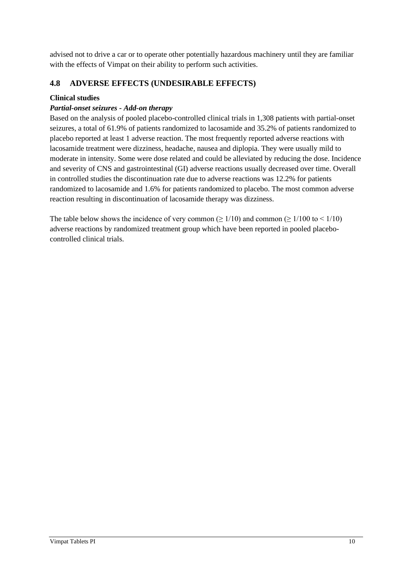advised not to drive a car or to operate other potentially hazardous machinery until they are familiar with the effects of Vimpat on their ability to perform such activities.

## **4.8 ADVERSE EFFECTS (UNDESIRABLE EFFECTS)**

#### **Clinical studies**

#### *Partial-onset seizures - Add-on therapy*

Based on the analysis of pooled placebo-controlled clinical trials in 1,308 patients with partial-onset seizures, a total of 61.9% of patients randomized to lacosamide and 35.2% of patients randomized to placebo reported at least 1 adverse reaction. The most frequently reported adverse reactions with lacosamide treatment were dizziness, headache, nausea and diplopia. They were usually mild to moderate in intensity. Some were dose related and could be alleviated by reducing the dose. Incidence and severity of CNS and gastrointestinal (GI) adverse reactions usually decreased over time. Overall in controlled studies the discontinuation rate due to adverse reactions was 12.2% for patients randomized to lacosamide and 1.6% for patients randomized to placebo. The most common adverse reaction resulting in discontinuation of lacosamide therapy was dizziness.

The table below shows the incidence of very common ( $\geq 1/10$ ) and common ( $\geq 1/100$  to  $\leq 1/10$ ) adverse reactions by randomized treatment group which have been reported in pooled placebocontrolled clinical trials.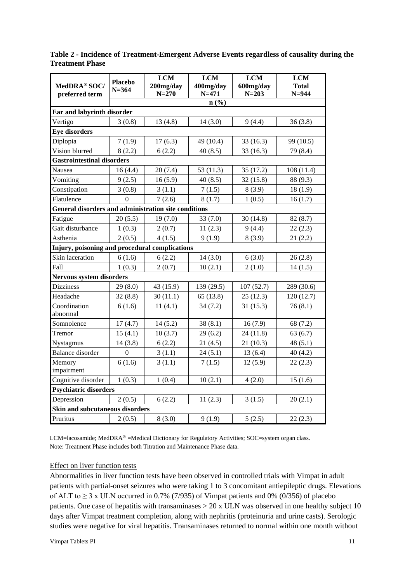|                                                             |                             | <b>LCM</b>             | <b>LCM</b>             | <b>LCM</b>             | <b>LCM</b>                |
|-------------------------------------------------------------|-----------------------------|------------------------|------------------------|------------------------|---------------------------|
| MedDRA® SOC/<br>preferred term                              | <b>Placebo</b><br>$N = 364$ | 200mg/day<br>$N = 270$ | 400mg/day<br>$N = 471$ | 600mg/day<br>$N = 203$ | <b>Total</b><br>$N = 944$ |
|                                                             |                             |                        | n(%)                   |                        |                           |
| Ear and labyrinth disorder                                  |                             |                        |                        |                        |                           |
| Vertigo                                                     | 3(0.8)                      | 13(4.8)                | 14(3.0)                | 9(4.4)                 | 36(3.8)                   |
| <b>Eye disorders</b>                                        |                             |                        |                        |                        |                           |
| Diplopia                                                    | 7(1.9)                      | 17(6.3)                | 49 (10.4)              | 33(16.3)               | 99 (10.5)                 |
| Vision blurred                                              | 8(2.2)                      | 6(2.2)                 | 40(8.5)                | 33(16.3)               | 79 (8.4)                  |
| <b>Gastrointestinal disorders</b>                           |                             |                        |                        |                        |                           |
| Nausea                                                      | 16(4.4)                     | 20(7.4)                | 53(11.3)               | 35(17.2)               | 108(11.4)                 |
| Vomiting                                                    | 9(2.5)                      | 16(5.9)                | 40(8.5)                | 32(15.8)               | 88 (9.3)                  |
| Constipation                                                | 3(0.8)                      | 3(1.1)                 | 7(1.5)                 | 8(3.9)                 | 18(1.9)                   |
| Flatulence                                                  | $\Omega$                    | 7(2.6)                 | 8(1.7)                 | 1(0.5)                 | 16(1.7)                   |
| <b>General disorders and administration site conditions</b> |                             |                        |                        |                        |                           |
| Fatigue                                                     | 20(5.5)                     | 19(7.0)                | 33(7.0)                | 30(14.8)               | 82(8.7)                   |
| Gait disturbance                                            | 1(0.3)                      | 2(0.7)                 | 11(2.3)                | 9(4.4)                 | 22(2.3)                   |
| Asthenia                                                    | 2(0.5)                      | 4(1.5)                 | 9(1.9)                 | 8(3.9)                 | 21(2.2)                   |
| Injury, poisoning and procedural complications              |                             |                        |                        |                        |                           |
| Skin laceration                                             | 6(1.6)                      | 6(2.2)                 | 14(3.0)                | 6(3.0)                 | 26(2.8)                   |
| Fall                                                        | 1(0.3)                      | 2(0.7)                 | 10(2.1)                | 2(1.0)                 | 14(1.5)                   |
| <b>Nervous system disorders</b>                             |                             |                        |                        |                        |                           |
| <b>Dizziness</b>                                            | 29(8.0)                     | 43 (15.9)              | 139 (29.5)             | 107(52.7)              | 289 (30.6)                |
| Headache                                                    | 32(8.8)                     | 30(11.1)               | 65(13.8)               | 25(12.3)               | 120 (12.7)                |
| Coordination<br>abnormal                                    | 6(1.6)                      | 11(4.1)                | 34(7.2)                | 31(15.3)               | 76(8.1)                   |
| Somnolence                                                  | 17(4.7)                     | 14(5.2)                | 38(8.1)                | 16(7.9)                | 68 (7.2)                  |
| Tremor                                                      | 15(4.1)                     | 10(3.7)                | 29(6.2)                | 24(11.8)               | 63(6.7)                   |
| Nystagmus                                                   | 14(3.8)                     | 6(2.2)                 | 21(4.5)                | 21(10.3)               | 48(5.1)                   |
| <b>Balance</b> disorder                                     | $\boldsymbol{0}$            | 3(1.1)                 | 24(5.1)                | 13(6.4)                | 40(4.2)                   |
| Memory<br>impairment                                        | 6(1.6)                      | 3(1.1)                 | 7(1.5)                 | 12(5.9)                | 22(2.3)                   |
| Cognitive disorder                                          | 1(0.3)                      | 1(0.4)                 | 10(2.1)                | 4(2.0)                 | 15(1.6)                   |
| <b>Psychiatric disorders</b>                                |                             |                        |                        |                        |                           |
| Depression                                                  | 2(0.5)                      | 6(2.2)                 | 11(2.3)                | 3(1.5)                 | 20(2.1)                   |
| Skin and subcutaneous disorders                             |                             |                        |                        |                        |                           |
| Pruritus                                                    | 2(0.5)                      | 8(3.0)                 | 9(1.9)                 | 5(2.5)                 | 22(2.3)                   |

**Table 2 - Incidence of Treatment-Emergent Adverse Events regardless of causality during the Treatment Phase**

LCM=lacosamide; MedDRA® =Medical Dictionary for Regulatory Activities; SOC=system organ class. Note: Treatment Phase includes both Titration and Maintenance Phase data.

#### Effect on liver function tests

Abnormalities in liver function tests have been observed in controlled trials with Vimpat in adult patients with partial-onset seizures who were taking 1 to 3 concomitant antiepileptic drugs. Elevations of ALT to  $\geq$  3 x ULN occurred in 0.7% (7/935) of Vimpat patients and 0% (0/356) of placebo patients. One case of hepatitis with transaminases  $> 20$  x ULN was observed in one healthy subject 10 days after Vimpat treatment completion, along with nephritis (proteinuria and urine casts). Serologic studies were negative for viral hepatitis. Transaminases returned to normal within one month without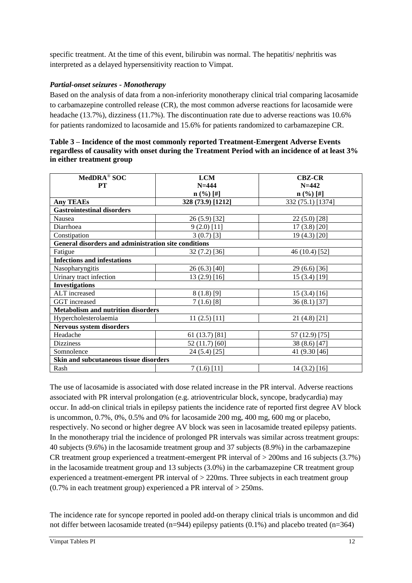specific treatment. At the time of this event, bilirubin was normal. The hepatitis/ nephritis was interpreted as a delayed hypersensitivity reaction to Vimpat.

### *Partial-onset seizures - Monotherapy*

Based on the analysis of data from a non-inferiority monotherapy clinical trial comparing lacosamide to carbamazepine controlled release (CR), the most common adverse reactions for lacosamide were headache (13.7%), dizziness (11.7%). The discontinuation rate due to adverse reactions was 10.6% for patients randomized to lacosamide and 15.6% for patients randomized to carbamazepine CR.

| MedDRA <sup>®</sup> SOC                              | <b>LCM</b>              | <b>CBZ-CR</b>     |
|------------------------------------------------------|-------------------------|-------------------|
| PT                                                   | $N = 444$               | $N = 442$         |
|                                                      | $n$ $(\frac{9}{6})$ [#] | $n$ (%) [#]       |
| <b>Any TEAEs</b>                                     | 328 (73.9) [1212]       | 332 (75.1) [1374] |
| <b>Gastrointestinal disorders</b>                    |                         |                   |
| Nausea                                               | $26(5.9)$ [32]          | $22(5.0)$ [28]    |
| Diarrhoea                                            | $9(2.0)$ [11]           | $17(3.8)$ [20]    |
| Constipation                                         | $3(0.7)$ [3]            | 19 (4.3) [20]     |
| General disorders and administration site conditions |                         |                   |
| Fatigue                                              | 32 (7.2) [36]           | 46 (10.4) [52]    |
| <b>Infections and infestations</b>                   |                         |                   |
| Nasopharyngitis                                      | 26(6.3) [40]            | 29 (6.6) [36]     |
| Urinary tract infection                              | 13 (2.9) [16]           | 15(3.4)[19]       |
| <b>Investigations</b>                                |                         |                   |
| ALT increased                                        | $8(1.8)$ [9]            | 15(3.4)[16]       |
| GGT increased                                        | $7(1.6)$ [8]            | $36(8.1)$ [37]    |
| <b>Metabolism and nutrition disorders</b>            |                         |                   |
| Hypercholesterolaemia                                | $11(2.5)$ [11]          | $21(4.8)$ [21]    |
| Nervous system disorders                             |                         |                   |
| Headache                                             | 61 (13.7) [81]          | 57 (12.9) [75]    |
| <b>Dizziness</b>                                     | 52 (11.7) [60]          | 38 (8.6) [47]     |
| Somnolence                                           | 24 (5.4) [25]           | 41 (9.30 [46]     |
| Skin and subcutaneous tissue disorders               |                         |                   |
| Rash                                                 | 7(1.6)[11]              | $14(3.2)$ [16]    |

| Table 3 – Incidence of the most commonly reported Treatment-Emergent Adverse Events             |
|-------------------------------------------------------------------------------------------------|
| regardless of causality with onset during the Treatment Period with an incidence of at least 3% |
| in either treatment group                                                                       |

The use of lacosamide is associated with dose related increase in the PR interval. Adverse reactions associated with PR interval prolongation (e.g. atrioventricular block, syncope, bradycardia) may occur. In add-on clinical trials in epilepsy patients the incidence rate of reported first degree AV block is uncommon,  $0.7\%$ ,  $0\%$ ,  $0.5\%$  and  $0\%$  for lacosamide 200 mg, 400 mg, 600 mg or placebo, respectively. No second or higher degree AV block was seen in lacosamide treated epilepsy patients. In the monotherapy trial the incidence of prolonged PR intervals was similar across treatment groups: 40 subjects (9.6%) in the lacosamide treatment group and 37 subjects (8.9%) in the carbamazepine CR treatment group experienced a treatment-emergent PR interval of > 200ms and 16 subjects (3.7%) in the lacosamide treatment group and 13 subjects (3.0%) in the carbamazepine CR treatment group experienced a treatment-emergent PR interval of > 220ms. Three subjects in each treatment group  $(0.7\%$  in each treatment group) experienced a PR interval of  $>$  250ms.

The incidence rate for syncope reported in pooled add-on therapy clinical trials is uncommon and did not differ between lacosamide treated (n=944) epilepsy patients  $(0.1\%)$  and placebo treated (n=364)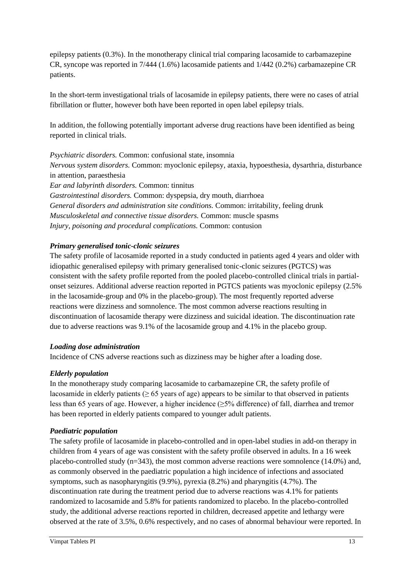epilepsy patients (0.3%). In the monotherapy clinical trial comparing lacosamide to carbamazepine CR, syncope was reported in 7/444 (1.6%) lacosamide patients and 1/442 (0.2%) carbamazepine CR patients.

In the short-term investigational trials of lacosamide in epilepsy patients, there were no cases of atrial fibrillation or flutter, however both have been reported in open label epilepsy trials.

In addition, the following potentially important adverse drug reactions have been identified as being reported in clinical trials.

*Psychiatric disorders.* Common: confusional state, insomnia *Nervous system disorders.* Common: myoclonic epilepsy, ataxia, hypoesthesia, dysarthria, disturbance in attention, paraesthesia *Ear and labyrinth disorders.* Common: tinnitus *Gastrointestinal disorders.* Common: dyspepsia, dry mouth, diarrhoea *General disorders and administration site conditions.* Common: irritability, feeling drunk *Musculoskeletal and connective tissue disorders.* Common: muscle spasms

*Injury, poisoning and procedural complications.* Common: contusion

#### *Primary generalised tonic-clonic seizures*

The safety profile of lacosamide reported in a study conducted in patients aged 4 years and older with idiopathic generalised epilepsy with primary generalised tonic-clonic seizures (PGTCS) was consistent with the safety profile reported from the pooled placebo-controlled clinical trials in partialonset seizures. Additional adverse reaction reported in PGTCS patients was myoclonic epilepsy (2.5% in the lacosamide-group and 0% in the placebo-group). The most frequently reported adverse reactions were dizziness and somnolence. The most common adverse reactions resulting in discontinuation of lacosamide therapy were dizziness and suicidal ideation. The discontinuation rate due to adverse reactions was 9.1% of the lacosamide group and 4.1% in the placebo group.

#### *Loading dose administration*

Incidence of CNS adverse reactions such as dizziness may be higher after a loading dose.

## *Elderly population*

In the monotherapy study comparing lacosamide to carbamazepine CR, the safety profile of lacosamide in elderly patients ( $\geq 65$  years of age) appears to be similar to that observed in patients less than 65 years of age. However, a higher incidence (≥5% difference) of fall, diarrhea and tremor has been reported in elderly patients compared to younger adult patients.

#### *Paediatric population*

The safety profile of lacosamide in placebo-controlled and in open-label studies in add-on therapy in children from 4 years of age was consistent with the safety profile observed in adults. In a 16 week placebo-controlled study (n=343), the most common adverse reactions were somnolence (14.0%) and, as commonly observed in the paediatric population a high incidence of infections and associated symptoms, such as nasopharyngitis (9.9%), pyrexia (8.2%) and pharyngitis (4.7%). The discontinuation rate during the treatment period due to adverse reactions was 4.1% for patients randomized to lacosamide and 5.8% for patients randomized to placebo. In the placebo-controlled study, the additional adverse reactions reported in children, decreased appetite and lethargy were observed at the rate of 3.5%, 0.6% respectively, and no cases of abnormal behaviour were reported. In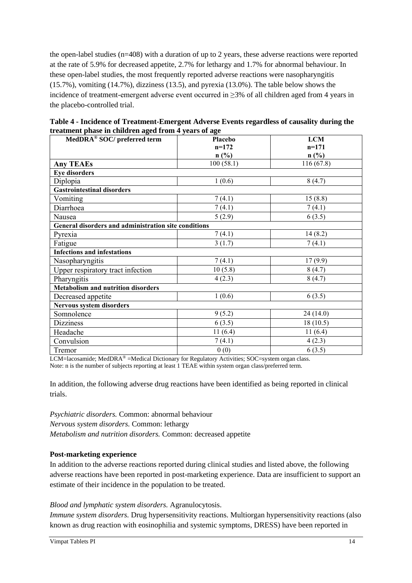the open-label studies (n=408) with a duration of up to 2 years, these adverse reactions were reported at the rate of 5.9% for decreased appetite, 2.7% for lethargy and 1.7% for abnormal behaviour. In these open-label studies, the most frequently reported adverse reactions were nasopharyngitis (15.7%), vomiting (14.7%), dizziness (13.5), and pyrexia (13.0%). The table below shows the incidence of treatment-emergent adverse event occurred in  $\geq$ 3% of all children aged from 4 years in the placebo-controlled trial.

| Table 4 - Incidence of Treatment-Emergent Adverse Events regardless of causality during the |
|---------------------------------------------------------------------------------------------|
| treatment phase in children aged from 4 years of age                                        |

| MedDRA® SOC/ preferred term                          | <b>Placebo</b> | <b>LCM</b>                  |
|------------------------------------------------------|----------------|-----------------------------|
|                                                      | $n=172$        | $n=171$                     |
|                                                      | n(%)           | $n\left(\frac{0}{0}\right)$ |
| <b>Any TEAEs</b>                                     | 100(58.1)      | 116(67.8)                   |
| <b>Eye disorders</b>                                 |                |                             |
| Diplopia                                             | 1(0.6)         | 8(4.7)                      |
| <b>Gastrointestinal disorders</b>                    |                |                             |
| Vomiting                                             | 7(4.1)         | 15(8.8)                     |
| Diarrhoea                                            | 7(4.1)         | 7(4.1)                      |
| Nausea                                               | 5(2.9)         | 6(3.5)                      |
| General disorders and administration site conditions |                |                             |
| Pyrexia                                              | 7(4.1)         | 14(8.2)                     |
| Fatigue                                              | 3(1.7)         | 7(4.1)                      |
| <b>Infections and infestations</b>                   |                |                             |
| Nasopharyngitis                                      | 7(4.1)         | 17(9.9)                     |
| Upper respiratory tract infection                    | 10(5.8)        | 8(4.7)                      |
| Pharyngitis                                          | 4(2.3)         | 8(4.7)                      |
| <b>Metabolism and nutrition disorders</b>            |                |                             |
| Decreased appetite                                   | 1(0.6)         | 6(3.5)                      |
| Nervous system disorders                             |                |                             |
| Somnolence                                           | 9(5.2)         | 24 (14.0)                   |
| <b>Dizziness</b>                                     | 6(3.5)         | 18(10.5)                    |
| Headache                                             | 11(6.4)        | 11(6.4)                     |
| Convulsion                                           | 7(4.1)         | 4(2.3)                      |
| Tremor                                               | 0(0)           | 6(3.5)                      |

LCM=lacosamide; MedDRA® =Medical Dictionary for Regulatory Activities; SOC=system organ class. Note: n is the number of subjects reporting at least 1 TEAE within system organ class/preferred term.

In addition, the following adverse drug reactions have been identified as being reported in clinical trials.

*Psychiatric disorders.* Common: abnormal behaviour *Nervous system disorders.* Common: lethargy *Metabolism and nutrition disorders.* Common: decreased appetite

## **Post-marketing experience**

In addition to the adverse reactions reported during clinical studies and listed above, the following adverse reactions have been reported in post-marketing experience. Data are insufficient to support an estimate of their incidence in the population to be treated.

#### *Blood and lymphatic system disorders.* Agranulocytosis.

*Immune system disorders.* Drug hypersensitivity reactions. Multiorgan hypersensitivity reactions (also known as drug reaction with eosinophilia and systemic symptoms, DRESS) have been reported in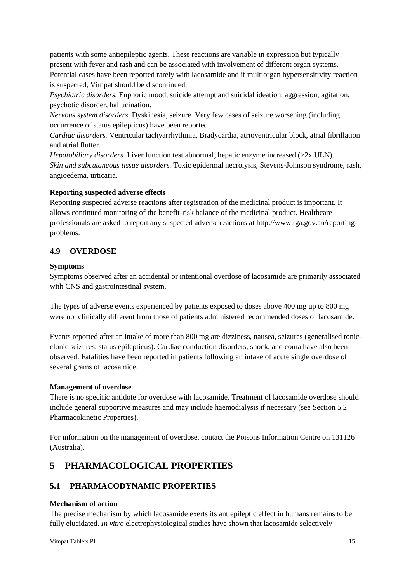patients with some antiepileptic agents. These reactions are variable in expression but typically present with fever and rash and can be associated with involvement of different organ systems. Potential cases have been reported rarely with lacosamide and if multiorgan hypersensitivity reaction is suspected, Vimpat should be discontinued.

*Psychiatric disorders.* Euphoric mood, suicide attempt and suicidal ideation, aggression, agitation, psychotic disorder, hallucination.

*Nervous system disorders.* Dyskinesia, seizure. Very few cases of seizure worsening (including occurrence of status epilepticus) have been reported.

*Cardiac disorders.* Ventricular tachyarrhythmia, Bradycardia, atrioventricular block, atrial fibrillation and atrial flutter.

*Hepatobiliary disorders.* Liver function test abnormal, hepatic enzyme increased (>2x ULN). *Skin and subcutaneous tissue disorders.* Toxic epidermal necrolysis, Stevens-Johnson syndrome, rash, angioedema, urticaria.

#### **Reporting suspected adverse effects**

Reporting suspected adverse reactions after registration of the medicinal product is important. It allows continued monitoring of the benefit-risk balance of the medicinal product. Healthcare professionals are asked to report any suspected adverse reactions at http://www.tga.gov.au/reportingproblems.

## **4.9 OVERDOSE**

#### **Symptoms**

Symptoms observed after an accidental or intentional overdose of lacosamide are primarily associated with CNS and gastrointestinal system.

The types of adverse events experienced by patients exposed to doses above 400 mg up to 800 mg were not clinically different from those of patients administered recommended doses of lacosamide.

Events reported after an intake of more than 800 mg are dizziness, nausea, seizures (generalised tonicclonic seizures, status epilepticus). Cardiac conduction disorders, shock, and coma have also been observed. Fatalities have been reported in patients following an intake of acute single overdose of several grams of lacosamide.

#### **Management of overdose**

There is no specific antidote for overdose with lacosamide. Treatment of lacosamide overdose should include general supportive measures and may include haemodialysis if necessary (see Section 5.2 Pharmacokinetic Properties).

For information on the management of overdose, contact the Poisons Information Centre on 131126 (Australia).

# **5 PHARMACOLOGICAL PROPERTIES**

## **5.1 PHARMACODYNAMIC PROPERTIES**

## **Mechanism of action**

The precise mechanism by which lacosamide exerts its antiepileptic effect in humans remains to be fully elucidated. *In vitro* electrophysiological studies have shown that lacosamide selectively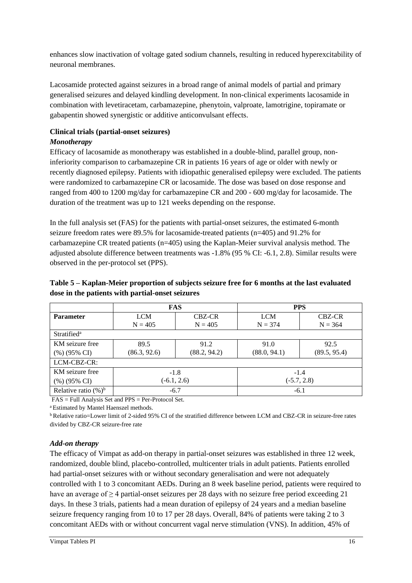enhances slow inactivation of voltage gated sodium channels, resulting in reduced hyperexcitability of neuronal membranes.

Lacosamide protected against seizures in a broad range of animal models of partial and primary generalised seizures and delayed kindling development. In non-clinical experiments lacosamide in combination with levetiracetam, carbamazepine, phenytoin, valproate, lamotrigine, topiramate or gabapentin showed synergistic or additive anticonvulsant effects.

#### **Clinical trials (partial-onset seizures)** *Monotherapy*

Efficacy of lacosamide as monotherapy was established in a double-blind, parallel group, noninferiority comparison to carbamazepine CR in patients 16 years of age or older with newly or recently diagnosed epilepsy. Patients with idiopathic generalised epilepsy were excluded. The patients were randomized to carbamazepine CR or lacosamide. The dose was based on dose response and ranged from 400 to 1200 mg/day for carbamazepine CR and 200 - 600 mg/day for lacosamide. The duration of the treatment was up to 121 weeks depending on the response.

In the full analysis set (FAS) for the patients with partial-onset seizures, the estimated 6-month seizure freedom rates were 89.5% for lacosamide-treated patients (n=405) and 91.2% for carbamazepine CR treated patients (n=405) using the Kaplan-Meier survival analysis method. The adjusted absolute difference between treatments was -1.8% (95 % CI: -6.1, 2.8). Similar results were observed in the per-protocol set (PPS).

#### **Table 5 – Kaplan-Meier proportion of subjects seizure free for 6 months at the last evaluated dose in the patients with partial-onset seizures**

|                         | <b>FAS</b>    |              | <b>PPS</b>    |              |
|-------------------------|---------------|--------------|---------------|--------------|
| <b>Parameter</b>        | <b>LCM</b>    | CBZ-CR       | <b>LCM</b>    | CBZ-CR       |
|                         | $N = 405$     | $N = 405$    | $N = 374$     | $N = 364$    |
| Stratified <sup>a</sup> |               |              |               |              |
| KM seizure free         | 89.5          | 91.2         | 91.0          | 92.5         |
| (%) (95% CI)            | (86.3, 92.6)  | (88.2, 94.2) | (88.0, 94.1)  | (89.5, 95.4) |
| LCM-CBZ-CR:             |               |              |               |              |
| KM seizure free         | $-1.8$        |              | $-1.4$        |              |
| (%) (95% CI)            | $(-6.1, 2.6)$ |              | $(-5.7, 2.8)$ |              |
| Relative ratio $(\%)^b$ | $-6.7$        |              | $-6.1$        |              |

FAS = Full Analysis Set and PPS = Per-Protocol Set.

<sup>a</sup> Estimated by Mantel Haenszel methods.

<sup>b</sup> Relative ratio=Lower limit of 2-sided 95% CI of the stratified difference between LCM and CBZ-CR in seizure-free rates divided by CBZ-CR seizure-free rate

#### *Add-on therapy*

The efficacy of Vimpat as add-on therapy in partial-onset seizures was established in three 12 week, randomized, double blind, placebo-controlled, multicenter trials in adult patients. Patients enrolled had partial-onset seizures with or without secondary generalisation and were not adequately controlled with 1 to 3 concomitant AEDs. During an 8 week baseline period, patients were required to have an average of  $\geq$  4 partial-onset seizures per 28 days with no seizure free period exceeding 21 days. In these 3 trials, patients had a mean duration of epilepsy of 24 years and a median baseline seizure frequency ranging from 10 to 17 per 28 days. Overall, 84% of patients were taking 2 to 3 concomitant AEDs with or without concurrent vagal nerve stimulation (VNS). In addition, 45% of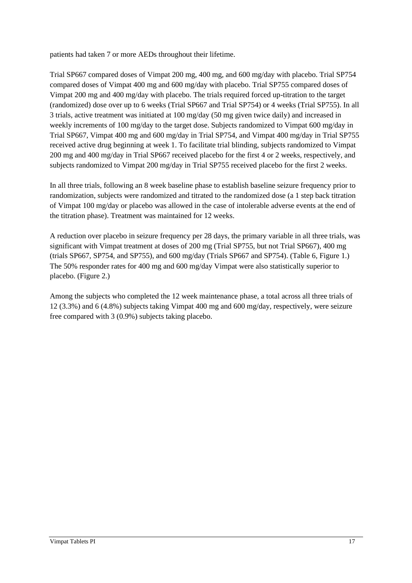patients had taken 7 or more AEDs throughout their lifetime.

Trial SP667 compared doses of Vimpat 200 mg, 400 mg, and 600 mg/day with placebo. Trial SP754 compared doses of Vimpat 400 mg and 600 mg/day with placebo. Trial SP755 compared doses of Vimpat 200 mg and 400 mg/day with placebo. The trials required forced up-titration to the target (randomized) dose over up to 6 weeks (Trial SP667 and Trial SP754) or 4 weeks (Trial SP755). In all 3 trials, active treatment was initiated at 100 mg/day (50 mg given twice daily) and increased in weekly increments of 100 mg/day to the target dose. Subjects randomized to Vimpat 600 mg/day in Trial SP667, Vimpat 400 mg and 600 mg/day in Trial SP754, and Vimpat 400 mg/day in Trial SP755 received active drug beginning at week 1. To facilitate trial blinding, subjects randomized to Vimpat 200 mg and 400 mg/day in Trial SP667 received placebo for the first 4 or 2 weeks, respectively, and subjects randomized to Vimpat 200 mg/day in Trial SP755 received placebo for the first 2 weeks.

In all three trials, following an 8 week baseline phase to establish baseline seizure frequency prior to randomization, subjects were randomized and titrated to the randomized dose (a 1 step back titration of Vimpat 100 mg/day or placebo was allowed in the case of intolerable adverse events at the end of the titration phase). Treatment was maintained for 12 weeks.

A reduction over placebo in seizure frequency per 28 days, the primary variable in all three trials, was significant with Vimpat treatment at doses of 200 mg (Trial SP755, but not Trial SP667), 400 mg (trials SP667, SP754, and SP755), and 600 mg/day (Trials SP667 and SP754). (Table 6, Figure 1.) The 50% responder rates for 400 mg and 600 mg/day Vimpat were also statistically superior to placebo. (Figure 2.)

Among the subjects who completed the 12 week maintenance phase, a total across all three trials of 12 (3.3%) and 6 (4.8%) subjects taking Vimpat 400 mg and 600 mg/day, respectively, were seizure free compared with 3 (0.9%) subjects taking placebo.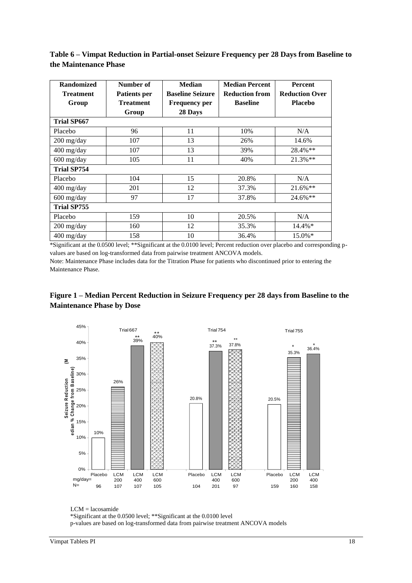| <b>Randomized</b><br><b>Treatment</b><br>Group | Number of<br><b>Patients per</b><br><b>Treatment</b> | <b>Median</b><br><b>Baseline Seizure</b><br><b>Frequency per</b> | <b>Median Percent</b><br><b>Reduction from</b><br><b>Baseline</b> | <b>Percent</b><br><b>Reduction Over</b><br><b>Placebo</b> |
|------------------------------------------------|------------------------------------------------------|------------------------------------------------------------------|-------------------------------------------------------------------|-----------------------------------------------------------|
|                                                | Group                                                | 28 Days                                                          |                                                                   |                                                           |
| <b>Trial SP667</b>                             |                                                      |                                                                  |                                                                   |                                                           |
| Placebo                                        | 96                                                   | 11                                                               | 10%                                                               | N/A                                                       |
| $200 \frac{\text{mg}}{\text{day}}$             | 107                                                  | 13                                                               | 26%                                                               | 14.6%                                                     |
| 400 mg/day                                     | 107                                                  | 13                                                               | 39%                                                               | 28.4%**                                                   |
| $600$ mg/day                                   | 105                                                  | 11                                                               | 40%                                                               | $21.3\%**$                                                |
| <b>Trial SP754</b>                             |                                                      |                                                                  |                                                                   |                                                           |
| Placebo                                        | 104                                                  | 15                                                               | 20.8%                                                             | N/A                                                       |
| 400 mg/day                                     | 201                                                  | 12                                                               | 37.3%                                                             | $21.6\%**$                                                |
| $600$ mg/day                                   | 97                                                   | 17                                                               | 37.8%                                                             | 24.6%**                                                   |
| <b>Trial SP755</b>                             |                                                      |                                                                  |                                                                   |                                                           |
| Placebo                                        | 159                                                  | 10                                                               | 20.5%                                                             | N/A                                                       |
| $200$ mg/day                                   | 160                                                  | 12                                                               | 35.3%                                                             | 14.4%*                                                    |
| $400$ mg/day                                   | 158                                                  | 10                                                               | 36.4%                                                             | 15.0%*                                                    |

**Table 6 – Vimpat Reduction in Partial-onset Seizure Frequency per 28 Days from Baseline to the Maintenance Phase**

\*Significant at the 0.0500 level; \*\*Significant at the 0.0100 level; Percent reduction over placebo and corresponding pvalues are based on log-transformed data from pairwise treatment ANCOVA models. Note: Maintenance Phase includes data for the Titration Phase for patients who discontinued prior to entering the

Maintenance Phase.

## **Figure 1 – Median Percent Reduction in Seizure Frequency per 28 days from Baseline to the Maintenance Phase by Dose**



LCM = lacosamide

p-values are based on log-transformed data from pairwise treatment ANCOVA models

<sup>\*</sup>Significant at the 0.0500 level; \*\*Significant at the 0.0100 level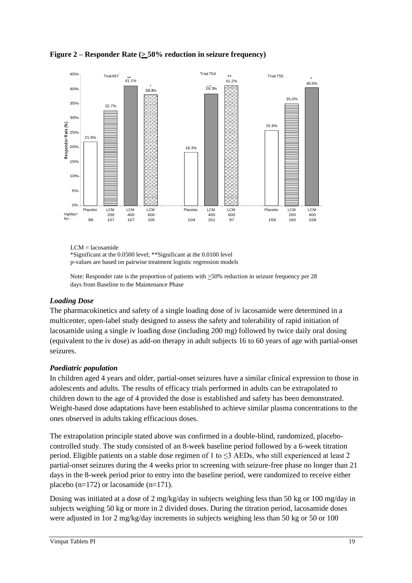**Figure 2** – **Responder Rate** ( $\geq$  50% reduction in seizure frequency)



LCM = lacosamide \*Significant at the 0.0500 level; \*\*Significant at the 0.0100 level p-values are based on pairwise treatment logistic regression models

Note: Responder rate is the proportion of patients with >50% reduction in seizure frequency per 28 days from Baseline to the Maintenance Phase

## *Loading Dose*

The pharmacokinetics and safety of a single loading dose of iv lacosamide were determined in a multicenter, open-label study designed to assess the safety and tolerability of rapid initiation of lacosamide using a single iv loading dose (including 200 mg) followed by twice daily oral dosing (equivalent to the iv dose) as add-on therapy in adult subjects 16 to 60 years of age with partial-onset seizures.

## *Paediatric population*

In children aged 4 years and older, partial-onset seizures have a similar clinical expression to those in adolescents and adults. The results of efficacy trials performed in adults can be extrapolated to children down to the age of 4 provided the dose is established and safety has been demonstrated. Weight-based dose adaptations have been established to achieve similar plasma concentrations to the ones observed in adults taking efficacious doses.

The extrapolation principle stated above was confirmed in a double-blind, randomized, placebocontrolled study. The study consisted of an 8-week baseline period followed by a 6-week titration period. Eligible patients on a stable dose regimen of 1 to ≤3 AEDs, who still experienced at least 2 partial-onset seizures during the 4 weeks prior to screening with seizure-free phase no longer than 21 days in the 8-week period prior to entry into the baseline period, were randomized to receive either placebo (n=172) or lacosamide (n=171).

Dosing was initiated at a dose of 2 mg/kg/day in subjects weighing less than 50 kg or 100 mg/day in subjects weighing 50 kg or more in 2 divided doses. During the titration period, lacosamide doses were adjusted in 1or 2 mg/kg/day increments in subjects weighing less than 50 kg or 50 or 100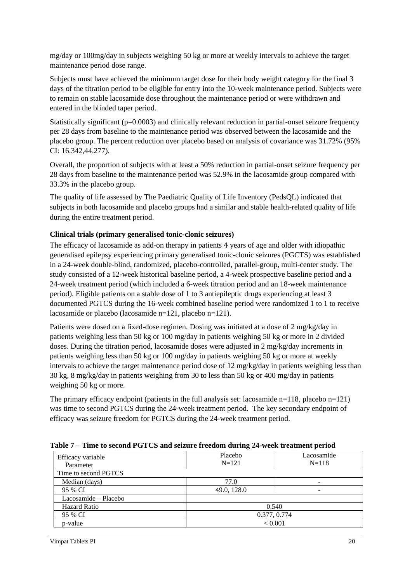mg/day or 100mg/day in subjects weighing 50 kg or more at weekly intervals to achieve the target maintenance period dose range.

Subjects must have achieved the minimum target dose for their body weight category for the final 3 days of the titration period to be eligible for entry into the 10-week maintenance period. Subjects were to remain on stable lacosamide dose throughout the maintenance period or were withdrawn and entered in the blinded taper period.

Statistically significant (p=0.0003) and clinically relevant reduction in partial-onset seizure frequency per 28 days from baseline to the maintenance period was observed between the lacosamide and the placebo group. The percent reduction over placebo based on analysis of covariance was 31.72% (95% CI: 16.342,44.277).

Overall, the proportion of subjects with at least a 50% reduction in partial-onset seizure frequency per 28 days from baseline to the maintenance period was 52.9% in the lacosamide group compared with 33.3% in the placebo group.

The quality of life assessed by The Paediatric Quality of Life Inventory (PedsQL) indicated that subjects in both lacosamide and placebo groups had a similar and stable health-related quality of life during the entire treatment period.

#### **Clinical trials (primary generalised tonic-clonic seizures)**

The efficacy of lacosamide as add-on therapy in patients 4 years of age and older with idiopathic generalised epilepsy experiencing primary generalised tonic-clonic seizures (PGCTS) was established in a 24-week double-blind, randomized, placebo-controlled, parallel-group, multi-center study. The study consisted of a 12-week historical baseline period, a 4-week prospective baseline period and a 24-week treatment period (which included a 6-week titration period and an 18-week maintenance period). Eligible patients on a stable dose of 1 to 3 antiepileptic drugs experiencing at least 3 documented PGTCS during the 16-week combined baseline period were randomized 1 to 1 to receive lacosamide or placebo (lacosamide n=121, placebo n=121).

Patients were dosed on a fixed-dose regimen. Dosing was initiated at a dose of 2 mg/kg/day in patients weighing less than 50 kg or 100 mg/day in patients weighing 50 kg or more in 2 divided doses. During the titration period, lacosamide doses were adjusted in 2 mg/kg/day increments in patients weighing less than 50 kg or 100 mg/day in patients weighing 50 kg or more at weekly intervals to achieve the target maintenance period dose of 12 mg/kg/day in patients weighing less than 30 kg, 8 mg/kg/day in patients weighing from 30 to less than 50 kg or 400 mg/day in patients weighing 50 kg or more.

The primary efficacy endpoint (patients in the full analysis set: lacosamide  $n=118$ , placebo  $n=121$ ) was time to second PGTCS during the 24-week treatment period. The key secondary endpoint of efficacy was seizure freedom for PGTCS during the 24-week treatment period.

| $\frac{1}{2}$ . The second $\frac{1}{2}$ of $\frac{1}{2}$ , $\frac{1}{2}$ , $\frac{1}{2}$ , $\frac{1}{2}$ , $\frac{1}{2}$ , $\frac{1}{2}$ , $\frac{1}{2}$ , $\frac{1}{2}$ , $\frac{1}{2}$ , $\frac{1}{2}$ , $\frac{1}{2}$ , $\frac{1}{2}$ , $\frac{1}{2}$ , $\frac{1}{2}$ , $\frac{1}{2}$ , $\frac{1$ |                      |                         |  |  |
|-------------------------------------------------------------------------------------------------------------------------------------------------------------------------------------------------------------------------------------------------------------------------------------------------------|----------------------|-------------------------|--|--|
| Efficacy variable<br>Parameter                                                                                                                                                                                                                                                                        | Placebo<br>$N = 121$ | Lacosamide<br>$N = 118$ |  |  |
| Time to second PGTCS                                                                                                                                                                                                                                                                                  |                      |                         |  |  |
| Median (days)                                                                                                                                                                                                                                                                                         | 77.0                 |                         |  |  |
| 95 % CI                                                                                                                                                                                                                                                                                               | 49.0, 128.0          | -                       |  |  |
| Lacosamide - Placebo                                                                                                                                                                                                                                                                                  |                      |                         |  |  |
| <b>Hazard Ratio</b>                                                                                                                                                                                                                                                                                   | 0.540                |                         |  |  |
| 95 % CI                                                                                                                                                                                                                                                                                               |                      | 0.377, 0.774            |  |  |
| p-value                                                                                                                                                                                                                                                                                               |                      | < 0.001                 |  |  |

**Table 7 – Time to second PGTCS and seizure freedom during 24-week treatment period**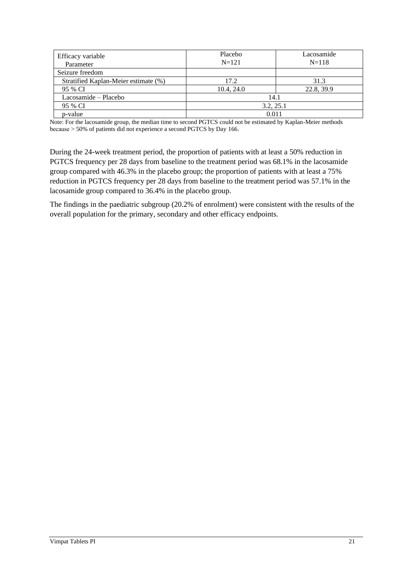| Efficacy variable<br>Parameter       | Placebo<br>$N=121$ | Lacosamide<br>$N = 118$ |
|--------------------------------------|--------------------|-------------------------|
| Seizure freedom                      |                    |                         |
| Stratified Kaplan-Meier estimate (%) | 17.2               | 31.3                    |
| 95 % CI                              | 10.4, 24.0         | 22.8, 39.9              |
| Lacosamide – Placebo                 | 14.1               |                         |
| 95 % CI                              | 3.2, 25.1          |                         |
| p-value                              | 0.011              |                         |

Note: For the lacosamide group, the median time to second PGTCS could not be estimated by Kaplan-Meier methods because ˃ 50% of patients did not experience a second PGTCS by Day 166.

During the 24-week treatment period, the proportion of patients with at least a 50% reduction in PGTCS frequency per 28 days from baseline to the treatment period was 68.1% in the lacosamide group compared with 46.3% in the placebo group; the proportion of patients with at least a 75% reduction in PGTCS frequency per 28 days from baseline to the treatment period was 57.1% in the lacosamide group compared to 36.4% in the placebo group.

The findings in the paediatric subgroup (20.2% of enrolment) were consistent with the results of the overall population for the primary, secondary and other efficacy endpoints.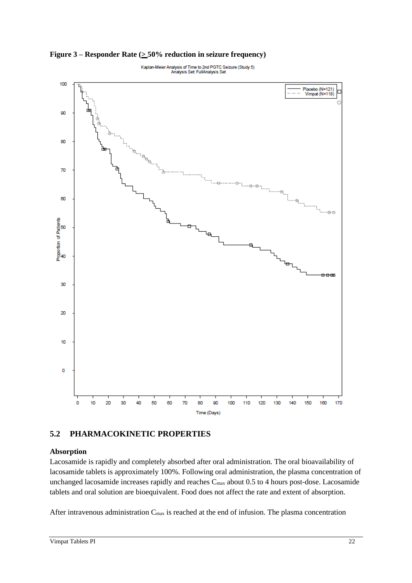100 Placebo (N=121)<br>Vimpat (N=118) 90 80 70 60  $-0$ Proportion of Patients<br>8 38 B 30 20 10  $\mathbf 0$  $\mathbf 0$ 10 70 80 90 100 110 120 130 140 150 160 170 20 30 40 50 60 Time (Days)

Kaplan-Meier Analysis of Time to 2nd PGTC Seizure (Study 5)<br>Analysis Set FullAnalysis Set

**Figure 3** – **Responder Rate (** $\geq$  **50% reduction in seizure frequency)** 

# **5.2 PHARMACOKINETIC PROPERTIES**

## **Absorption**

Lacosamide is rapidly and completely absorbed after oral administration. The oral bioavailability of lacosamide tablets is approximately 100%. Following oral administration, the plasma concentration of unchanged lacosamide increases rapidly and reaches  $C_{\text{max}}$  about 0.5 to 4 hours post-dose. Lacosamide tablets and oral solution are bioequivalent. Food does not affect the rate and extent of absorption.

After intravenous administration  $C_{\text{max}}$  is reached at the end of infusion. The plasma concentration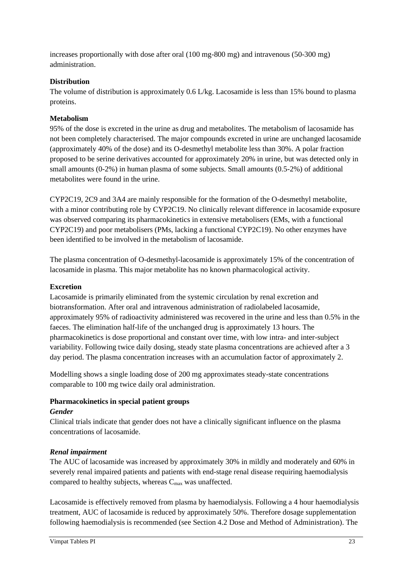increases proportionally with dose after oral (100 mg-800 mg) and intravenous (50-300 mg) administration.

## **Distribution**

The volume of distribution is approximately 0.6 L/kg. Lacosamide is less than 15% bound to plasma proteins.

### **Metabolism**

95% of the dose is excreted in the urine as drug and metabolites. The metabolism of lacosamide has not been completely characterised. The major compounds excreted in urine are unchanged lacosamide (approximately 40% of the dose) and its O-desmethyl metabolite less than 30%. A polar fraction proposed to be serine derivatives accounted for approximately 20% in urine, but was detected only in small amounts (0-2%) in human plasma of some subjects. Small amounts (0.5-2%) of additional metabolites were found in the urine.

CYP2C19, 2C9 and 3A4 are mainly responsible for the formation of the O-desmethyl metabolite, with a minor contributing role by CYP2C19. No clinically relevant difference in lacosamide exposure was observed comparing its pharmacokinetics in extensive metabolisers (EMs, with a functional CYP2C19) and poor metabolisers (PMs, lacking a functional CYP2C19). No other enzymes have been identified to be involved in the metabolism of lacosamide.

The plasma concentration of O-desmethyl-lacosamide is approximately 15% of the concentration of lacosamide in plasma. This major metabolite has no known pharmacological activity.

#### **Excretion**

Lacosamide is primarily eliminated from the systemic circulation by renal excretion and biotransformation. After oral and intravenous administration of radiolabeled lacosamide, approximately 95% of radioactivity administered was recovered in the urine and less than 0.5% in the faeces. The elimination half-life of the unchanged drug is approximately 13 hours. The pharmacokinetics is dose proportional and constant over time, with low intra- and inter-subject variability. Following twice daily dosing, steady state plasma concentrations are achieved after a 3 day period. The plasma concentration increases with an accumulation factor of approximately 2.

Modelling shows a single loading dose of 200 mg approximates steady-state concentrations comparable to 100 mg twice daily oral administration.

#### **Pharmacokinetics in special patient groups**

#### *Gender*

Clinical trials indicate that gender does not have a clinically significant influence on the plasma concentrations of lacosamide.

## *Renal impairment*

The AUC of lacosamide was increased by approximately 30% in mildly and moderately and 60% in severely renal impaired patients and patients with end-stage renal disease requiring haemodialysis compared to healthy subjects, whereas  $C_{\text{max}}$  was unaffected.

Lacosamide is effectively removed from plasma by haemodialysis. Following a 4 hour haemodialysis treatment, AUC of lacosamide is reduced by approximately 50%. Therefore dosage supplementation following haemodialysis is recommended (see Section 4.2 Dose and Method of Administration). The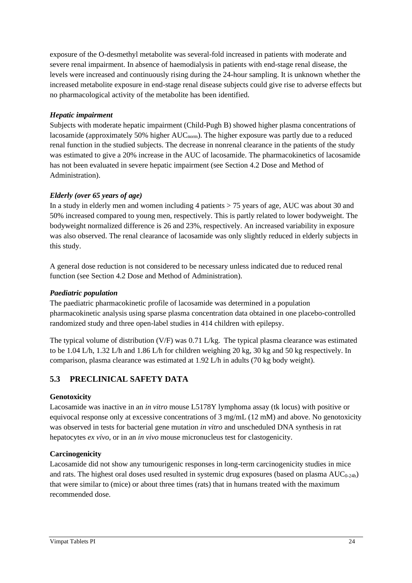exposure of the O-desmethyl metabolite was several-fold increased in patients with moderate and severe renal impairment. In absence of haemodialysis in patients with end-stage renal disease, the levels were increased and continuously rising during the 24-hour sampling. It is unknown whether the increased metabolite exposure in end-stage renal disease subjects could give rise to adverse effects but no pharmacological activity of the metabolite has been identified.

### *Hepatic impairment*

Subjects with moderate hepatic impairment (Child-Pugh B) showed higher plasma concentrations of lacosamide (approximately 50% higher AUC<sub>norm</sub>). The higher exposure was partly due to a reduced renal function in the studied subjects. The decrease in nonrenal clearance in the patients of the study was estimated to give a 20% increase in the AUC of lacosamide. The pharmacokinetics of lacosamide has not been evaluated in severe hepatic impairment (see Section 4.2 Dose and Method of Administration).

## *Elderly (over 65 years of age)*

In a study in elderly men and women including 4 patients > 75 years of age, AUC was about 30 and 50% increased compared to young men, respectively. This is partly related to lower bodyweight. The bodyweight normalized difference is 26 and 23%, respectively. An increased variability in exposure was also observed. The renal clearance of lacosamide was only slightly reduced in elderly subjects in this study.

A general dose reduction is not considered to be necessary unless indicated due to reduced renal function (see Section 4.2 Dose and Method of Administration).

### *Paediatric population*

The paediatric pharmacokinetic profile of lacosamide was determined in a population pharmacokinetic analysis using sparse plasma concentration data obtained in one placebo-controlled randomized study and three open-label studies in 414 children with epilepsy.

The typical volume of distribution (V/F) was 0.71 L/kg. The typical plasma clearance was estimated to be 1.04 L/h, 1.32 L/h and 1.86 L/h for children weighing 20 kg, 30 kg and 50 kg respectively. In comparison, plasma clearance was estimated at 1.92 L/h in adults (70 kg body weight).

## **5.3 PRECLINICAL SAFETY DATA**

#### **Genotoxicity**

Lacosamide was inactive in an *in vitro* mouse L5178Y lymphoma assay (tk locus) with positive or equivocal response only at excessive concentrations of 3 mg/mL (12 mM) and above. No genotoxicity was observed in tests for bacterial gene mutation *in vitro* and unscheduled DNA synthesis in rat hepatocytes *ex vivo,* or in an *in vivo* mouse micronucleus test for clastogenicity.

#### **Carcinogenicity**

Lacosamide did not show any tumourigenic responses in long-term carcinogenicity studies in mice and rats. The highest oral doses used resulted in systemic drug exposures (based on plasma  $AUC_{0-24h}$ ) that were similar to (mice) or about three times (rats) that in humans treated with the maximum recommended dose.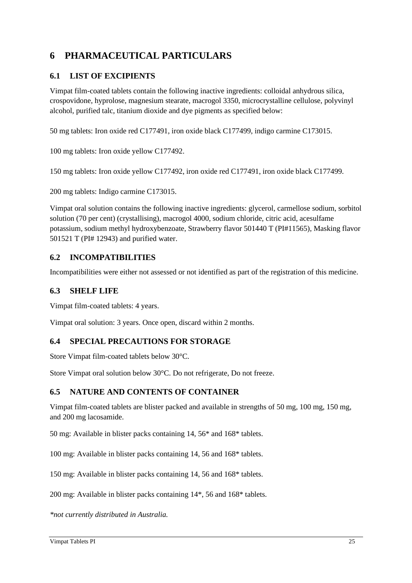# **6 PHARMACEUTICAL PARTICULARS**

## **6.1 LIST OF EXCIPIENTS**

Vimpat film-coated tablets contain the following inactive ingredients: colloidal anhydrous silica, crospovidone, hyprolose, magnesium stearate, macrogol 3350, microcrystalline cellulose, polyvinyl alcohol, purified talc, titanium dioxide and dye pigments as specified below:

50 mg tablets: Iron oxide red C177491, iron oxide black C177499, indigo carmine C173015.

100 mg tablets: Iron oxide yellow C177492.

150 mg tablets: Iron oxide yellow C177492, iron oxide red C177491, iron oxide black C177499.

200 mg tablets: Indigo carmine C173015.

Vimpat oral solution contains the following inactive ingredients: glycerol, carmellose sodium, sorbitol solution (70 per cent) (crystallising), macrogol 4000, sodium chloride, citric acid, acesulfame potassium, sodium methyl hydroxybenzoate, Strawberry flavor 501440 T (PI#11565), Masking flavor 501521 T (PI# 12943) and purified water.

## **6.2 INCOMPATIBILITIES**

Incompatibilities were either not assessed or not identified as part of the registration of this medicine.

## **6.3 SHELF LIFE**

Vimpat film-coated tablets: 4 years.

Vimpat oral solution: 3 years. Once open, discard within 2 months.

## **6.4 SPECIAL PRECAUTIONS FOR STORAGE**

Store Vimpat film-coated tablets below 30°C.

Store Vimpat oral solution below 30°C. Do not refrigerate, Do not freeze.

## **6.5 NATURE AND CONTENTS OF CONTAINER**

Vimpat film-coated tablets are blister packed and available in strengths of 50 mg, 100 mg, 150 mg, and 200 mg lacosamide.

50 mg: Available in blister packs containing 14, 56\* and 168\* tablets.

100 mg: Available in blister packs containing 14, 56 and 168\* tablets.

150 mg: Available in blister packs containing 14, 56 and 168\* tablets.

200 mg: Available in blister packs containing 14\*, 56 and 168\* tablets.

*\*not currently distributed in Australia.*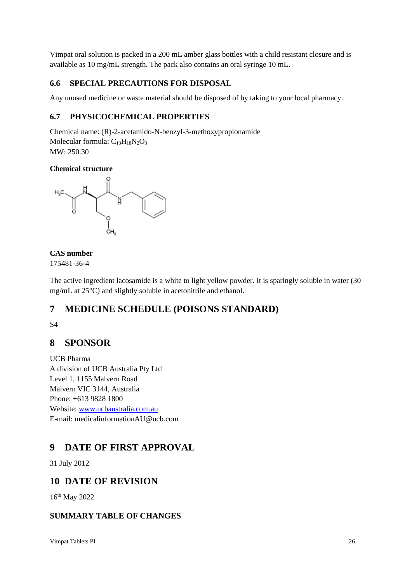Vimpat oral solution is packed in a 200 mL amber glass bottles with a child resistant closure and is available as 10 mg/mL strength. The pack also contains an oral syringe 10 mL.

## **6.6 SPECIAL PRECAUTIONS FOR DISPOSAL**

Any unused medicine or waste material should be disposed of by taking to your local pharmacy.

## **6.7 PHYSICOCHEMICAL PROPERTIES**

Chemical name: (R)-2-acetamido-N-benzyl-3-methoxypropionamide Molecular formula:  $C_{13}H_{18}N_2O_3$ MW: 250.30

## **Chemical structure**



## **CAS number**

175481-36-4

The active ingredient lacosamide is a white to light yellow powder. It is sparingly soluble in water (30 mg/mL at 25°C) and slightly soluble in acetonitrile and ethanol.

# **7 MEDICINE SCHEDULE (POISONS STANDARD)**

S4

# **8 SPONSOR**

UCB Pharma A division of UCB Australia Pty Ltd Level 1, 1155 Malvern Road Malvern VIC 3144, Australia Phone: +613 9828 1800 Website: [www.ucbaustralia.com.au](http://www.ucbaustralia.com.au/) E-mail: medicalinformationAU@ucb.com

# **9 DATE OF FIRST APPROVAL**

31 July 2012

# **10 DATE OF REVISION**

16th May 2022

## **SUMMARY TABLE OF CHANGES**